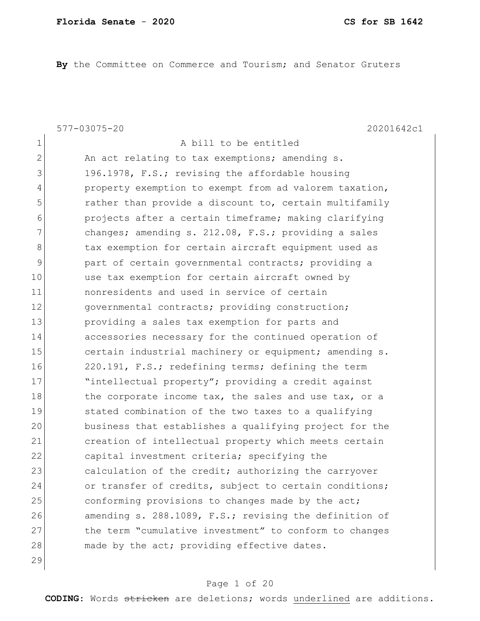**By** the Committee on Commerce and Tourism; and Senator Gruters

1 a bill to be entitled

577-03075-20 20201642c1

2 An act relating to tax exemptions; amending s. 3 196.1978, F.S.; revising the affordable housing 4 property exemption to exempt from ad valorem taxation, 5 5 rather than provide a discount to, certain multifamily 6 projects after a certain timeframe; making clarifying 7 changes; amending s. 212.08, F.S.; providing a sales 8 b tax exemption for certain aircraft equipment used as 9 part of certain governmental contracts; providing a 10 use tax exemption for certain aircraft owned by 11 nonresidents and used in service of certain 12 **governmental contracts;** providing construction; 13 providing a sales tax exemption for parts and 14 accessories necessary for the continued operation of 15 certain industrial machinery or equipment; amending s. 16 220.191, F.S.; redefining terms; defining the term 17 Tintellectual property"; providing a credit against 18 the corporate income tax, the sales and use tax, or a 19 stated combination of the two taxes to a qualifying 20 business that establishes a qualifying project for the 21 creation of intellectual property which meets certain 22 capital investment criteria; specifying the 23 calculation of the credit; authorizing the carryover 24 or transfer of credits, subject to certain conditions; 25 conforming provisions to changes made by the act; 26 amending s. 288.1089, F.S.; revising the definition of 27 the term "cumulative investment" to conform to changes 28 made by the act; providing effective dates. 29

## Page 1 of 20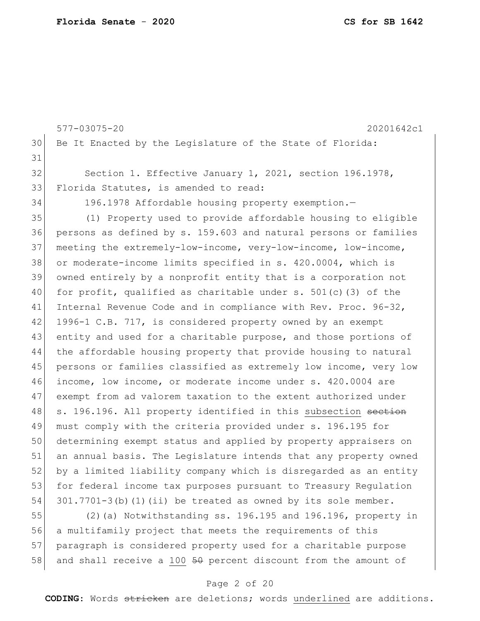|    | 577-03075-20<br>20201642c1                                        |
|----|-------------------------------------------------------------------|
| 30 | Be It Enacted by the Legislature of the State of Florida:         |
| 31 |                                                                   |
| 32 | Section 1. Effective January 1, 2021, section 196.1978,           |
| 33 | Florida Statutes, is amended to read:                             |
| 34 | 196.1978 Affordable housing property exemption.-                  |
| 35 | (1) Property used to provide affordable housing to eligible       |
| 36 | persons as defined by s. 159.603 and natural persons or families  |
| 37 | meeting the extremely-low-income, very-low-income, low-income,    |
| 38 | or moderate-income limits specified in s. 420.0004, which is      |
| 39 | owned entirely by a nonprofit entity that is a corporation not    |
| 40 | for profit, qualified as charitable under s. $501(c)$ (3) of the  |
| 41 | Internal Revenue Code and in compliance with Rev. Proc. 96-32,    |
| 42 | 1996-1 C.B. 717, is considered property owned by an exempt        |
| 43 | entity and used for a charitable purpose, and those portions of   |
| 44 | the affordable housing property that provide housing to natural   |
| 45 | persons or families classified as extremely low income, very low  |
| 46 | income, low income, or moderate income under s. 420.0004 are      |
| 47 | exempt from ad valorem taxation to the extent authorized under    |
| 48 | s. 196.196. All property identified in this subsection section    |
| 49 | must comply with the criteria provided under s. 196.195 for       |
| 50 | determining exempt status and applied by property appraisers on   |
| 51 | an annual basis. The Legislature intends that any property owned  |
| 52 | by a limited liability company which is disregarded as an entity  |
| 53 | for federal income tax purposes pursuant to Treasury Regulation   |
| 54 | $301.7701-3$ (b) (1) (ii) be treated as owned by its sole member. |
| 55 | (2) (a) Notwithstanding ss. 196.195 and 196.196, property in      |
| 56 | a multifamily project that meets the requirements of this         |
| 57 | paragraph is considered property used for a charitable purpose    |
| 58 | and shall receive a 100 $50$ percent discount from the amount of  |

# Page 2 of 20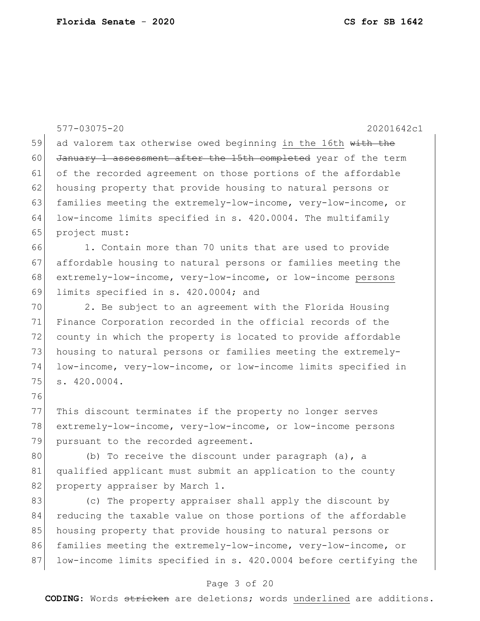|    | 577-03075-20<br>20201642c1                                       |
|----|------------------------------------------------------------------|
| 59 | ad valorem tax otherwise owed beginning in the 16th with the     |
| 60 | January 1 assessment after the 15th completed year of the term   |
| 61 | of the recorded agreement on those portions of the affordable    |
| 62 | housing property that provide housing to natural persons or      |
| 63 | families meeting the extremely-low-income, very-low-income, or   |
| 64 | low-income limits specified in s. 420.0004. The multifamily      |
| 65 | project must:                                                    |
| 66 | 1. Contain more than 70 units that are used to provide           |
| 67 | affordable housing to natural persons or families meeting the    |
| 68 | extremely-low-income, very-low-income, or low-income persons     |
| 69 | limits specified in s. 420.0004; and                             |
| 70 | 2. Be subject to an agreement with the Florida Housing           |
| 71 | Finance Corporation recorded in the official records of the      |
| 72 | county in which the property is located to provide affordable    |
| 73 | housing to natural persons or families meeting the extremely-    |
| 74 | low-income, very-low-income, or low-income limits specified in   |
| 75 | s. 420.0004.                                                     |
| 76 |                                                                  |
| 77 | This discount terminates if the property no longer serves        |
| 78 | extremely-low-income, very-low-income, or low-income persons     |
| 79 | pursuant to the recorded agreement.                              |
| 80 | (b) To receive the discount under paragraph (a), a               |
| 81 | qualified applicant must submit an application to the county     |
| 82 | property appraiser by March 1.                                   |
| 83 | (c) The property appraiser shall apply the discount by           |
| 84 | reducing the taxable value on those portions of the affordable   |
| 85 | housing property that provide housing to natural persons or      |
| 86 | families meeting the extremely-low-income, very-low-income, or   |
| 87 | low-income limits specified in s. 420.0004 before certifying the |
|    |                                                                  |

# Page 3 of 20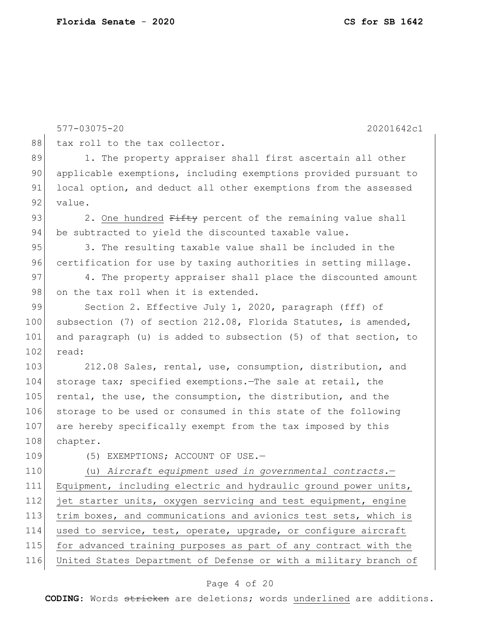|     | 577-03075-20<br>20201642c1                                       |
|-----|------------------------------------------------------------------|
| 88  | tax roll to the tax collector.                                   |
| 89  | 1. The property appraiser shall first ascertain all other        |
| 90  | applicable exemptions, including exemptions provided pursuant to |
| 91  | local option, and deduct all other exemptions from the assessed  |
| 92  | value.                                                           |
| 93  | 2. One hundred Fifty percent of the remaining value shall        |
| 94  | be subtracted to yield the discounted taxable value.             |
| 95  | 3. The resulting taxable value shall be included in the          |
| 96  | certification for use by taxing authorities in setting millage.  |
| 97  | 4. The property appraiser shall place the discounted amount      |
| 98  | on the tax roll when it is extended.                             |
| 99  | Section 2. Effective July 1, 2020, paragraph (fff) of            |
| 100 | subsection (7) of section 212.08, Florida Statutes, is amended,  |
| 101 | and paragraph (u) is added to subsection (5) of that section, to |
| 102 | read:                                                            |
| 103 | 212.08 Sales, rental, use, consumption, distribution, and        |
| 104 | storage tax; specified exemptions. The sale at retail, the       |
| 105 | rental, the use, the consumption, the distribution, and the      |
| 106 | storage to be used or consumed in this state of the following    |
| 107 | are hereby specifically exempt from the tax imposed by this      |
| 108 | chapter.                                                         |
| 109 | (5) EXEMPTIONS; ACCOUNT OF USE.-                                 |
| 110 | (u) Aircraft equipment used in governmental contracts.-          |
| 111 | Equipment, including electric and hydraulic ground power units,  |
| 112 | jet starter units, oxygen servicing and test equipment, engine   |
| 113 | trim boxes, and communications and avionics test sets, which is  |
| 114 | used to service, test, operate, upgrade, or configure aircraft   |
| 115 | for advanced training purposes as part of any contract with the  |
| 116 | United States Department of Defense or with a military branch of |
|     |                                                                  |

# Page 4 of 20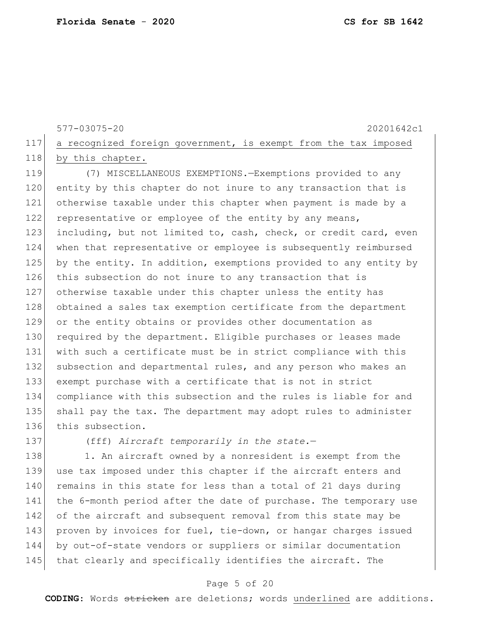577-03075-20 20201642c1 117 a recognized foreign government, is exempt from the tax imposed 118 by this chapter.

119 (7) MISCELLANEOUS EXEMPTIONS.—Exemptions provided to any 120 entity by this chapter do not inure to any transaction that is 121 otherwise taxable under this chapter when payment is made by a 122 representative or employee of the entity by any means, 123 including, but not limited to, cash, check, or credit card, even 124 when that representative or employee is subsequently reimbursed 125 by the entity. In addition, exemptions provided to any entity by 126 this subsection do not inure to any transaction that is 127 otherwise taxable under this chapter unless the entity has 128 obtained a sales tax exemption certificate from the department 129 or the entity obtains or provides other documentation as 130 required by the department. Eligible purchases or leases made 131 with such a certificate must be in strict compliance with this 132 subsection and departmental rules, and any person who makes an 133 exempt purchase with a certificate that is not in strict 134 compliance with this subsection and the rules is liable for and 135 shall pay the tax. The department may adopt rules to administer 136 this subsection.

137 (fff) *Aircraft temporarily in the state.*—

138 1. An aircraft owned by a nonresident is exempt from the 139 use tax imposed under this chapter if the aircraft enters and 140 remains in this state for less than a total of 21 days during 141 the 6-month period after the date of purchase. The temporary use 142 of the aircraft and subsequent removal from this state may be 143 proven by invoices for fuel, tie-down, or hangar charges issued 144 by out-of-state vendors or suppliers or similar documentation 145 that clearly and specifically identifies the aircraft. The

## Page 5 of 20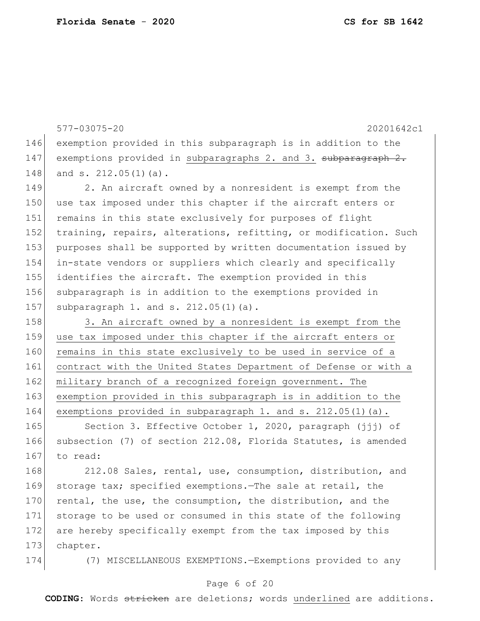577-03075-20 20201642c1 146 exemption provided in this subparagraph is in addition to the 147 exemptions provided in subparagraphs 2. and 3. subparagraph 2. 148 and s.  $212.05(1)(a)$ . 149 2. An aircraft owned by a nonresident is exempt from the 150 use tax imposed under this chapter if the aircraft enters or 151 remains in this state exclusively for purposes of flight 152 training, repairs, alterations, refitting, or modification. Such 153 purposes shall be supported by written documentation issued by 154 in-state vendors or suppliers which clearly and specifically 155 identifies the aircraft. The exemption provided in this 156 subparagraph is in addition to the exemptions provided in 157 subparagraph 1. and s. 212.05(1)(a). 158 3. An aircraft owned by a nonresident is exempt from the 159 use tax imposed under this chapter if the aircraft enters or

160 remains in this state exclusively to be used in service of a 161 contract with the United States Department of Defense or with a 162 military branch of a recognized foreign government. The 163 exemption provided in this subparagraph is in addition to the 164 exemptions provided in subparagraph 1. and s. 212.05(1)(a).

165 Section 3. Effective October 1, 2020, paragraph (jjj) of 166 subsection (7) of section 212.08, Florida Statutes, is amended 167 to read:

168 212.08 Sales, rental, use, consumption, distribution, and 169 storage tax; specified exemptions.—The sale at retail, the 170 rental, the use, the consumption, the distribution, and the 171 storage to be used or consumed in this state of the following 172 are hereby specifically exempt from the tax imposed by this 173 chapter.

174 (7) MISCELLANEOUS EXEMPTIONS.—Exemptions provided to any

## Page 6 of 20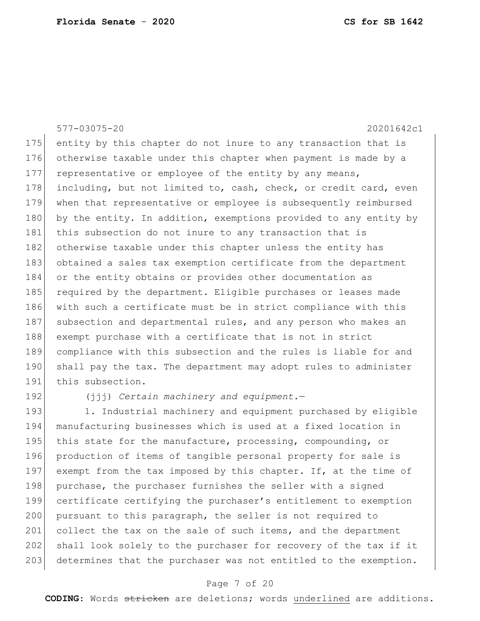|            | 577-03075-20<br>20201642c1                                       |  |  |
|------------|------------------------------------------------------------------|--|--|
| 175        | entity by this chapter do not inure to any transaction that is   |  |  |
| 176        | otherwise taxable under this chapter when payment is made by a   |  |  |
| 177        | representative or employee of the entity by any means,           |  |  |
| 178        | including, but not limited to, cash, check, or credit card, even |  |  |
| 179        | when that representative or employee is subsequently reimbursed  |  |  |
| 180        | by the entity. In addition, exemptions provided to any entity by |  |  |
| 181        | this subsection do not inure to any transaction that is          |  |  |
| 182        | otherwise taxable under this chapter unless the entity has       |  |  |
| 183        | obtained a sales tax exemption certificate from the department   |  |  |
| 184        | or the entity obtains or provides other documentation as         |  |  |
| 185        | required by the department. Eligible purchases or leases made    |  |  |
| 186        | with such a certificate must be in strict compliance with this   |  |  |
| 187        | subsection and departmental rules, and any person who makes an   |  |  |
| 188        | exempt purchase with a certificate that is not in strict         |  |  |
| 189        | compliance with this subsection and the rules is liable for and  |  |  |
| 190        | shall pay the tax. The department may adopt rules to administer  |  |  |
| 191        | this subsection.                                                 |  |  |
| 192        | $(iji)$ Certain machinery and equipment.                         |  |  |
| $1 \cap 2$ | 1 Industrial mashinery and equipment purchased by eligible       |  |  |

193| 1. Industrial machinery and equipment purchased by eligible manufacturing businesses which is used at a fixed location in 195 this state for the manufacture, processing, compounding, or production of items of tangible personal property for sale is 197 exempt from the tax imposed by this chapter. If, at the time of 198 purchase, the purchaser furnishes the seller with a signed certificate certifying the purchaser's entitlement to exemption 200 pursuant to this paragraph, the seller is not required to 201 collect the tax on the sale of such items, and the department 202 shall look solely to the purchaser for recovery of the tax if it 203 determines that the purchaser was not entitled to the exemption.

# Page 7 of 20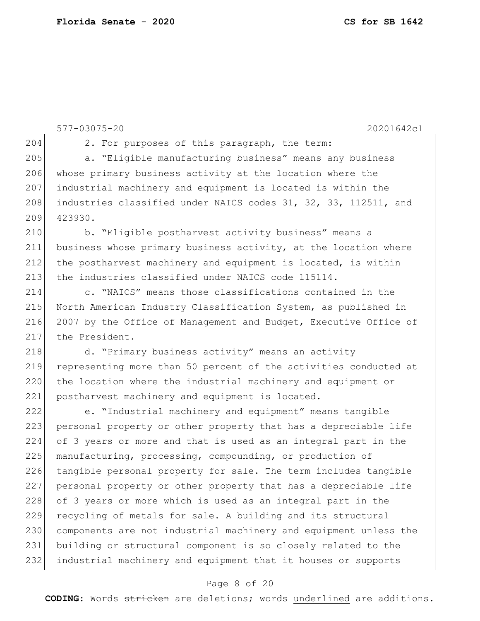577-03075-20 20201642c1 204 2. For purposes of this paragraph, the term: 205 a. "Eligible manufacturing business" means any business 206 whose primary business activity at the location where the 207 industrial machinery and equipment is located is within the 208 industries classified under NAICS codes 31, 32, 33, 112511, and 209 423930. 210 b. "Eligible postharvest activity business" means a 211 business whose primary business activity, at the location where 212 the postharvest machinery and equipment is located, is within 213 the industries classified under NAICS code 115114. 214 c. "NAICS" means those classifications contained in the 215 North American Industry Classification System, as published in 216 2007 by the Office of Management and Budget, Executive Office of 217 the President. 218 d. "Primary business activity" means an activity 219 representing more than 50 percent of the activities conducted at 220 the location where the industrial machinery and equipment or 221 postharvest machinery and equipment is located. 222 e. "Industrial machinery and equipment" means tangible 223 personal property or other property that has a depreciable life 224 of 3 years or more and that is used as an integral part in the 225 manufacturing, processing, compounding, or production of 226 tangible personal property for sale. The term includes tangible 227 personal property or other property that has a depreciable life 228 of 3 years or more which is used as an integral part in the 229 recycling of metals for sale. A building and its structural 230 components are not industrial machinery and equipment unless the 231 building or structural component is so closely related to the 232 industrial machinery and equipment that it houses or supports

## Page 8 of 20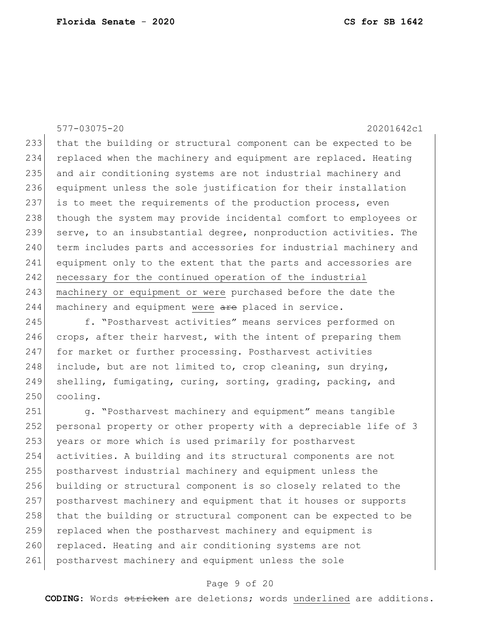233 that the building or structural component can be expected to be 234 replaced when the machinery and equipment are replaced. Heating 235 and air conditioning systems are not industrial machinery and 236 equipment unless the sole justification for their installation 237 is to meet the requirements of the production process, even 238 though the system may provide incidental comfort to employees or 239 serve, to an insubstantial degree, nonproduction activities. The 240 term includes parts and accessories for industrial machinery and 241 equipment only to the extent that the parts and accessories are 242 necessary for the continued operation of the industrial 243 machinery or equipment or were purchased before the date the 244 machinery and equipment were are placed in service.

245 f. "Postharvest activities" means services performed on  $246$  crops, after their harvest, with the intent of preparing them 247 for market or further processing. Postharvest activities 248 include, but are not limited to, crop cleaning, sun drying, 249 shelling, fumigating, curing, sorting, grading, packing, and 250 cooling.

251 g. "Postharvest machinery and equipment" means tangible 252 personal property or other property with a depreciable life of 3 253 years or more which is used primarily for postharvest 254 activities. A building and its structural components are not 255 postharvest industrial machinery and equipment unless the 256 building or structural component is so closely related to the 257 postharvest machinery and equipment that it houses or supports 258 that the building or structural component can be expected to be 259 replaced when the postharvest machinery and equipment is 260 replaced. Heating and air conditioning systems are not 261 postharvest machinery and equipment unless the sole

## Page 9 of 20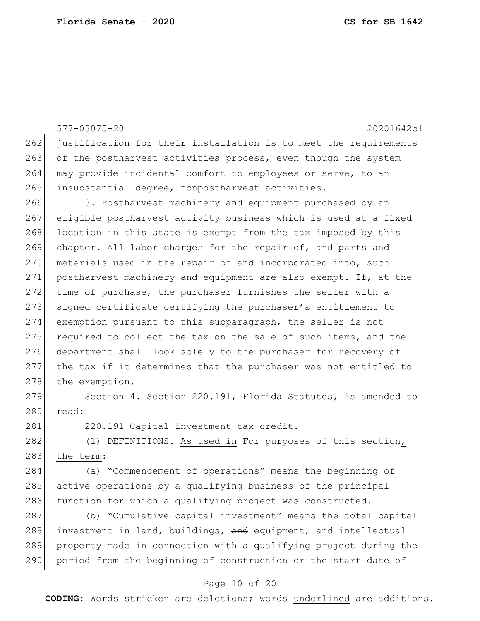577-03075-20 20201642c1 262 justification for their installation is to meet the requirements 263 of the postharvest activities process, even though the system 264 may provide incidental comfort to employees or serve, to an 265 insubstantial degree, nonpostharvest activities. 266 3. Postharvest machinery and equipment purchased by an 267 eligible postharvest activity business which is used at a fixed 268 location in this state is exempt from the tax imposed by this 269 chapter. All labor charges for the repair of, and parts and 270 materials used in the repair of and incorporated into, such 271 postharvest machinery and equipment are also exempt. If, at the 272 time of purchase, the purchaser furnishes the seller with a 273 signed certificate certifying the purchaser's entitlement to 274 exemption pursuant to this subparagraph, the seller is not 275 required to collect the tax on the sale of such items, and the 276 department shall look solely to the purchaser for recovery of 277 the tax if it determines that the purchaser was not entitled to 278 the exemption. 279 Section 4. Section 220.191, Florida Statutes, is amended to 280 read: 281 220.191 Capital investment tax credit.-

282 (1) DEFINITIONS.—As used in For purposes of this section, 283 the term:

284 (a) "Commencement of operations" means the beginning of 285 active operations by a qualifying business of the principal 286 function for which a qualifying project was constructed.

287 (b) "Cumulative capital investment" means the total capital 288 investment in land, buildings, and equipment, and intellectual 289 property made in connection with a qualifying project during the 290 period from the beginning of construction or the start date of

# Page 10 of 20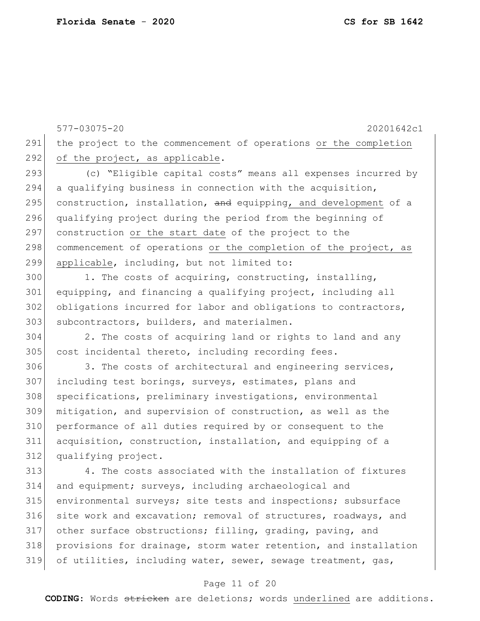577-03075-20 20201642c1 291 the project to the commencement of operations or the completion 292 of the project, as applicable. 293 (c) "Eligible capital costs" means all expenses incurred by 294 a qualifying business in connection with the acquisition, 295 construction, installation,  $\frac{1}{2}$  equipping, and development of a 296 qualifying project during the period from the beginning of 297 construction or the start date of the project to the 298 commencement of operations or the completion of the project, as 299 applicable, including, but not limited to: 300 1. The costs of acquiring, constructing, installing, 301 equipping, and financing a qualifying project, including all 302 obligations incurred for labor and obligations to contractors, 303 subcontractors, builders, and materialmen.

304 2. The costs of acquiring land or rights to land and any 305 cost incidental thereto, including recording fees.

306 3. The costs of architectural and engineering services, 307 including test borings, surveys, estimates, plans and 308 specifications, preliminary investigations, environmental 309 mitigation, and supervision of construction, as well as the 310 performance of all duties required by or consequent to the 311 acquisition, construction, installation, and equipping of a 312 qualifying project.

 4. The costs associated with the installation of fixtures and equipment; surveys, including archaeological and environmental surveys; site tests and inspections; subsurface 316 site work and excavation; removal of structures, roadways, and other surface obstructions; filling, grading, paving, and provisions for drainage, storm water retention, and installation of utilities, including water, sewer, sewage treatment, gas,

### Page 11 of 20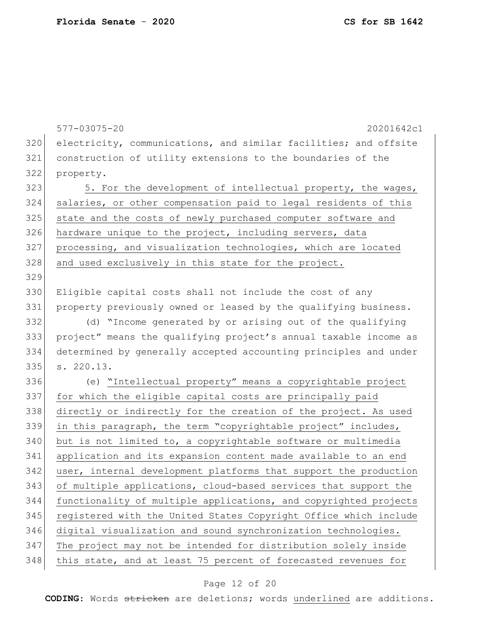577-03075-20 20201642c1 electricity, communications, and similar facilities; and offsite construction of utility extensions to the boundaries of the property. 323 5. For the development of intellectual property, the wages, salaries, or other compensation paid to legal residents of this state and the costs of newly purchased computer software and 326 hardware unique to the project, including servers, data 327 processing, and visualization technologies, which are located 328 and used exclusively in this state for the project. Eligible capital costs shall not include the cost of any property previously owned or leased by the qualifying business. (d) "Income generated by or arising out of the qualifying project" means the qualifying project's annual taxable income as determined by generally accepted accounting principles and under s. 220.13. (e) "Intellectual property" means a copyrightable project 337 for which the eligible capital costs are principally paid directly or indirectly for the creation of the project. As used in this paragraph, the term "copyrightable project" includes, but is not limited to, a copyrightable software or multimedia application and its expansion content made available to an end user, internal development platforms that support the production of multiple applications, cloud-based services that support the functionality of multiple applications, and copyrighted projects 345 registered with the United States Copyright Office which include digital visualization and sound synchronization technologies. The project may not be intended for distribution solely inside 348 this state, and at least 75 percent of forecasted revenues for

# Page 12 of 20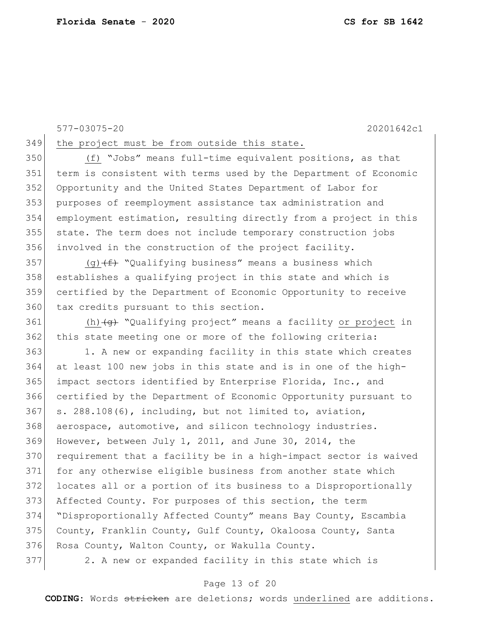349 the project must be from outside this state.

 (f) "Jobs" means full-time equivalent positions, as that term is consistent with terms used by the Department of Economic Opportunity and the United States Department of Labor for purposes of reemployment assistance tax administration and employment estimation, resulting directly from a project in this 355 state. The term does not include temporary construction jobs involved in the construction of the project facility.

357 (g)  $(f)$  "Qualifying business" means a business which establishes a qualifying project in this state and which is certified by the Department of Economic Opportunity to receive 360 tax credits pursuant to this section.

361 (h) (g) "Qualifying project" means a facility or project in 362 this state meeting one or more of the following criteria:

 1. A new or expanding facility in this state which creates at least 100 new jobs in this state and is in one of the high- impact sectors identified by Enterprise Florida, Inc., and certified by the Department of Economic Opportunity pursuant to s.  $288.108(6)$ , including, but not limited to, aviation, 368 aerospace, automotive, and silicon technology industries. However, between July 1, 2011, and June 30, 2014, the 370 requirement that a facility be in a high-impact sector is waived for any otherwise eligible business from another state which locates all or a portion of its business to a Disproportionally Affected County. For purposes of this section, the term "Disproportionally Affected County" means Bay County, Escambia County, Franklin County, Gulf County, Okaloosa County, Santa 376 Rosa County, Walton County, or Wakulla County.

2. A new or expanded facility in this state which is

## Page 13 of 20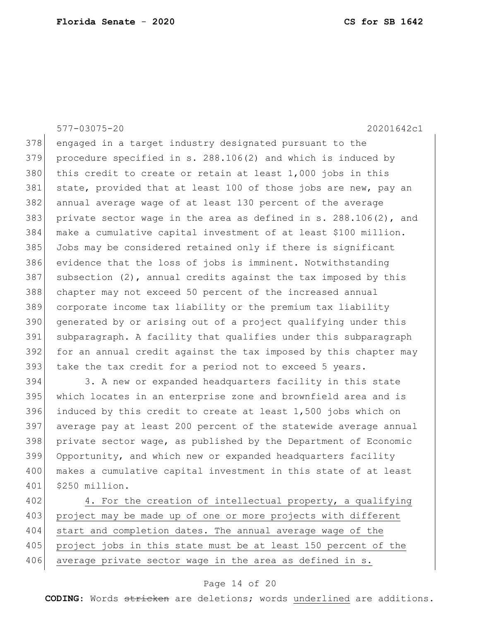378 engaged in a target industry designated pursuant to the procedure specified in s. 288.106(2) and which is induced by 380 this credit to create or retain at least  $1,000$  jobs in this 381 state, provided that at least 100 of those jobs are new, pay an annual average wage of at least 130 percent of the average 383 private sector wage in the area as defined in  $s. 288.106(2)$ , and make a cumulative capital investment of at least \$100 million. Jobs may be considered retained only if there is significant evidence that the loss of jobs is imminent. Notwithstanding subsection (2), annual credits against the tax imposed by this chapter may not exceed 50 percent of the increased annual corporate income tax liability or the premium tax liability generated by or arising out of a project qualifying under this subparagraph. A facility that qualifies under this subparagraph for an annual credit against the tax imposed by this chapter may 393 take the tax credit for a period not to exceed 5 years.

 3. A new or expanded headquarters facility in this state which locates in an enterprise zone and brownfield area and is 396 induced by this credit to create at least  $1,500$  jobs which on average pay at least 200 percent of the statewide average annual private sector wage, as published by the Department of Economic Opportunity, and which new or expanded headquarters facility 400 makes a cumulative capital investment in this state of at least \$250 million.

402 4. For the creation of intellectual property, a qualifying 403 project may be made up of one or more projects with different 404 start and completion dates. The annual average wage of the 405 project jobs in this state must be at least 150 percent of the 406 average private sector wage in the area as defined in s.

### Page 14 of 20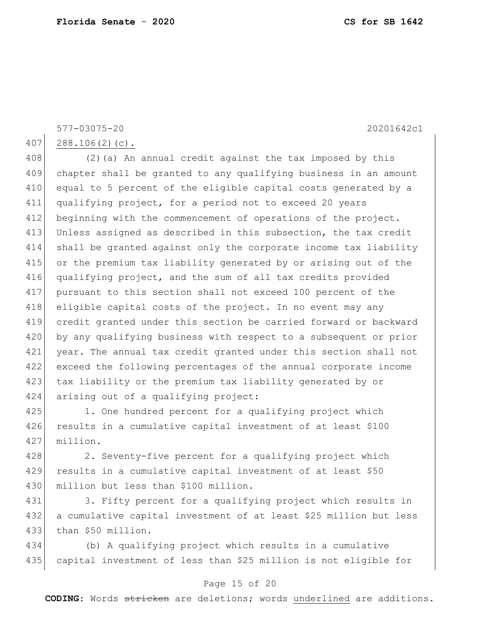407 288.106(2)(c).

408 (2) (a) An annual credit against the tax imposed by this 409 chapter shall be granted to any qualifying business in an amount 410 equal to 5 percent of the eligible capital costs generated by a 411 qualifying project, for a period not to exceed 20 years 412 beginning with the commencement of operations of the project. 413 Unless assigned as described in this subsection, the tax credit 414 shall be granted against only the corporate income tax liability 415 or the premium tax liability generated by or arising out of the 416 qualifying project, and the sum of all tax credits provided 417 pursuant to this section shall not exceed 100 percent of the 418 eligible capital costs of the project. In no event may any 419 credit granted under this section be carried forward or backward 420 by any qualifying business with respect to a subsequent or prior 421 year. The annual tax credit granted under this section shall not 422 exceed the following percentages of the annual corporate income 423 tax liability or the premium tax liability generated by or 424 arising out of a qualifying project:

425 1. One hundred percent for a qualifying project which 426 results in a cumulative capital investment of at least \$100 427 million.

428 2. Seventy-five percent for a qualifying project which 429 results in a cumulative capital investment of at least \$50 430 million but less than \$100 million.

431 3. Fifty percent for a qualifying project which results in 432 a cumulative capital investment of at least \$25 million but less 433 than \$50 million.

434 (b) A qualifying project which results in a cumulative 435 capital investment of less than \$25 million is not eligible for

# Page 15 of 20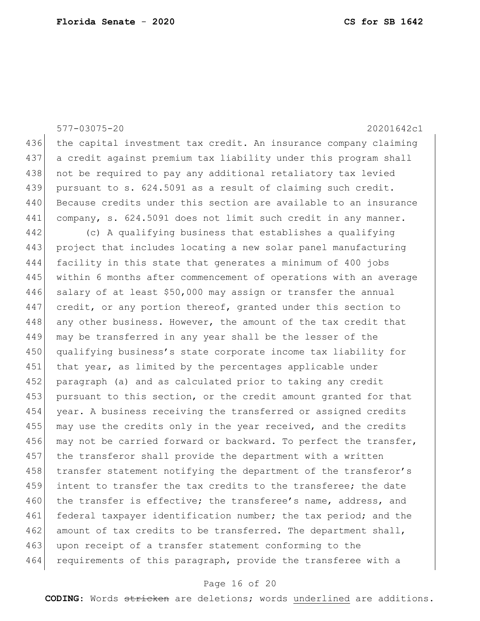| $577 - 03075 - 20$ | 20201642c1                                                       |
|--------------------|------------------------------------------------------------------|
| 436                | the capital investment tax credit. An insurance company claiming |
| 437                | a credit against premium tax liability under this program shall  |
| 438                | not be required to pay any additional retaliatory tax levied     |
| 439                | pursuant to s. 624.5091 as a result of claiming such credit.     |
| 440                | Because credits under this section are available to an insurance |
| 441                | company, s. 624.5091 does not limit such credit in any manner.   |
| 442                | (c) A qualifying business that establishes a qualifying          |
| 443                | project that includes locating a new solar panel manufacturing   |
| 444                | facility in this state that generates a minimum of 400 jobs      |
| 445                | within 6 months after commencement of operations with an average |
| 446                | salary of at least \$50,000 may assign or transfer the annual    |
| 447                | credit, or any portion thereof, granted under this section to    |
| 448                | any other business. However, the amount of the tax credit that   |
| 449                | may be transferred in any year shall be the lesser of the        |
| 450                | qualifying business's state corporate income tax liability for   |
| 451                | that year, as limited by the percentages applicable under        |
| 452                | paragraph (a) and as calculated prior to taking any credit       |
| 453                | pursuant to this section, or the credit amount granted for that  |
| 454                | year. A business receiving the transferred or assigned credits   |
| 455                | may use the credits only in the year received, and the credits   |
| 456                | may not be carried forward or backward. To perfect the transfer, |
| 457                | the transferor shall provide the department with a written       |
| 458                | transfer statement notifying the department of the transferor's  |
| 459                | intent to transfer the tax credits to the transferee; the date   |
| 460                | the transfer is effective; the transferee's name, address, and   |
| 461                | federal taxpayer identification number; the tax period; and the  |
| 462                | amount of tax credits to be transferred. The department shall,   |
| 463                | upon receipt of a transfer statement conforming to the           |
| 464                | requirements of this paragraph, provide the transferee with a    |

# Page 16 of 20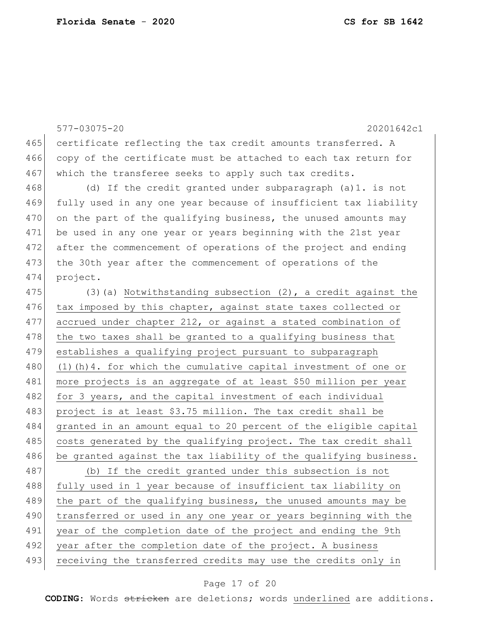577-03075-20 20201642c1 465 certificate reflecting the tax credit amounts transferred. A 466 copy of the certificate must be attached to each tax return for 467 which the transferee seeks to apply such tax credits. 468 (d) If the credit granted under subparagraph (a)1. is not 469 fully used in any one year because of insufficient tax liability 470 on the part of the qualifying business, the unused amounts may 471 be used in any one year or years beginning with the 21st year 472 after the commencement of operations of the project and ending 473 the 30th year after the commencement of operations of the 474 project. 475 (3) (a) Notwithstanding subsection  $(2)$ , a credit against the 476 tax imposed by this chapter, against state taxes collected or 477 accrued under chapter 212, or against a stated combination of 478 the two taxes shall be granted to a qualifying business that 479 establishes a qualifying project pursuant to subparagraph 480 (1)(h)4. for which the cumulative capital investment of one or 481 more projects is an aggregate of at least \$50 million per year 482 for 3 years, and the capital investment of each individual 483 project is at least \$3.75 million. The tax credit shall be 484 granted in an amount equal to 20 percent of the eligible capital 485 costs generated by the qualifying project. The tax credit shall 486 be granted against the tax liability of the qualifying business. 487 (b) If the credit granted under this subsection is not 488 fully used in 1 year because of insufficient tax liability on 489 the part of the qualifying business, the unused amounts may be 490 transferred or used in any one year or years beginning with the 491 year of the completion date of the project and ending the 9th 492 year after the completion date of the project. A business 493 receiving the transferred credits may use the credits only in

### Page 17 of 20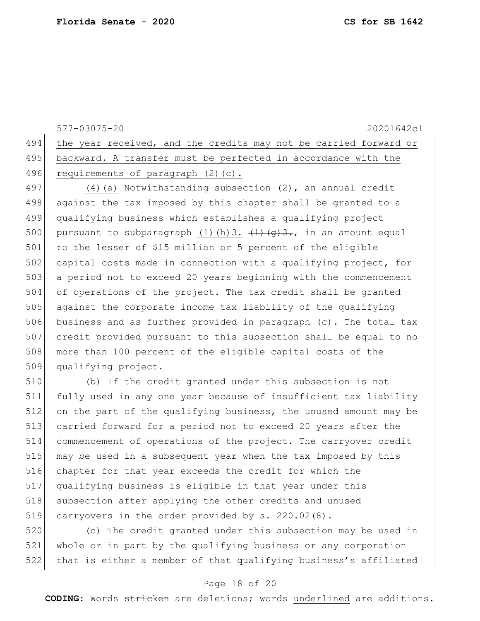577-03075-20 20201642c1 494 the year received, and the credits may not be carried forward or 495 backward. A transfer must be perfected in accordance with the 496 requirements of paragraph (2)(c). 497 (4) (a) Notwithstanding subsection (2), an annual credit 498 against the tax imposed by this chapter shall be granted to a 499 qualifying business which establishes a qualifying project 500 pursuant to subparagraph (1)(h)3.  $(1)$ (g)3., in an amount equal 501 to the lesser of \$15 million or 5 percent of the eligible 502 capital costs made in connection with a qualifying project, for 503 a period not to exceed 20 years beginning with the commencement 504 of operations of the project. The tax credit shall be granted 505 against the corporate income tax liability of the qualifying 506 business and as further provided in paragraph (c). The total tax 507 credit provided pursuant to this subsection shall be equal to no 508 more than 100 percent of the eligible capital costs of the 509 qualifying project.

 (b) If the credit granted under this subsection is not fully used in any one year because of insufficient tax liability on the part of the qualifying business, the unused amount may be carried forward for a period not to exceed 20 years after the commencement of operations of the project. The carryover credit may be used in a subsequent year when the tax imposed by this chapter for that year exceeds the credit for which the qualifying business is eligible in that year under this 518 | subsection after applying the other credits and unused carryovers in the order provided by s. 220.02(8).

520 (c) The credit granted under this subsection may be used in 521 whole or in part by the qualifying business or any corporation 522 that is either a member of that qualifying business's affiliated

### Page 18 of 20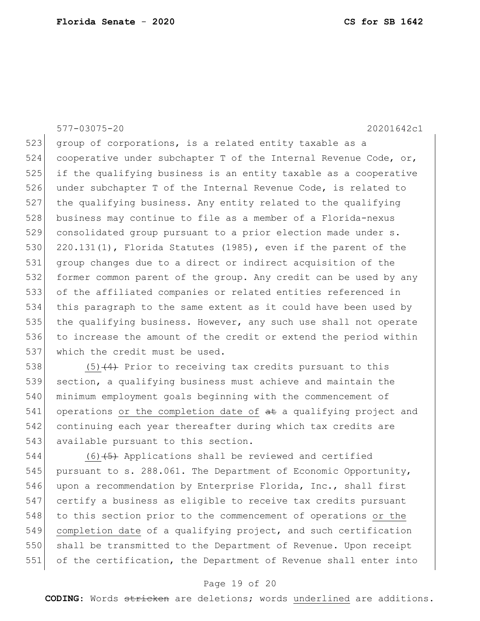523 group of corporations, is a related entity taxable as a 524 cooperative under subchapter T of the Internal Revenue Code, or, 525 if the qualifying business is an entity taxable as a cooperative 526 under subchapter T of the Internal Revenue Code, is related to 527 the qualifying business. Any entity related to the qualifying 528 business may continue to file as a member of a Florida-nexus 529 consolidated group pursuant to a prior election made under s. 530 220.131(1), Florida Statutes (1985), even if the parent of the 531 group changes due to a direct or indirect acquisition of the 532 former common parent of the group. Any credit can be used by any 533 of the affiliated companies or related entities referenced in 534 this paragraph to the same extent as it could have been used by 535 the qualifying business. However, any such use shall not operate 536 to increase the amount of the credit or extend the period within 537 which the credit must be used.

538 (5)  $(4)$  Prior to receiving tax credits pursuant to this section, a qualifying business must achieve and maintain the minimum employment goals beginning with the commencement of operations or the completion date of  $a$ t a qualifying project and continuing each year thereafter during which tax credits are 543 available pursuant to this section.

544 (6)<del>(5)</del> Applications shall be reviewed and certified 545 pursuant to s. 288.061. The Department of Economic Opportunity, 546 upon a recommendation by Enterprise Florida, Inc., shall first 547 certify a business as eligible to receive tax credits pursuant 548 to this section prior to the commencement of operations or the 549 completion date of a qualifying project, and such certification 550 shall be transmitted to the Department of Revenue. Upon receipt 551 of the certification, the Department of Revenue shall enter into

## Page 19 of 20